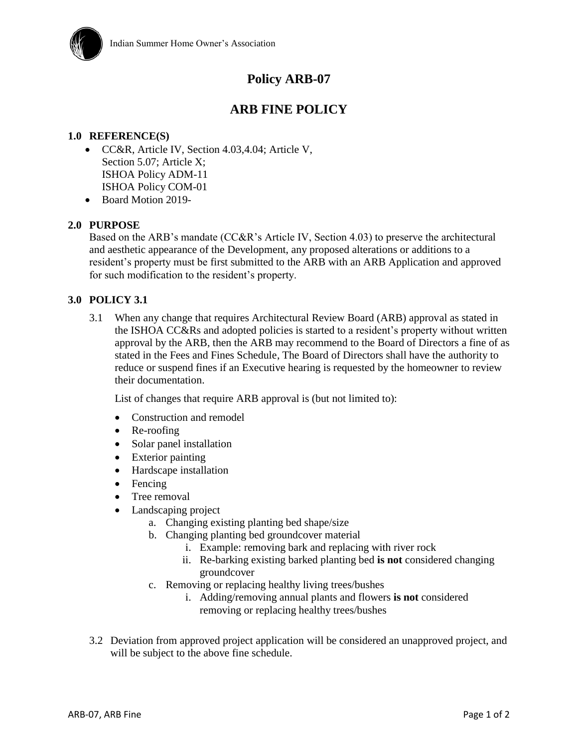

# **Policy ARB-07**

## **ARB FINE POLICY**

#### **1.0 REFERENCE(S)**

- CC&R, Article IV, Section 4.03,4.04; Article V, Section 5.07; Article X; ISHOA Policy ADM-11 ISHOA Policy COM-01
- Board Motion 2019-

#### **2.0 PURPOSE**

Based on the ARB's mandate (CC&R's Article IV, Section 4.03) to preserve the architectural and aesthetic appearance of the Development, any proposed alterations or additions to a resident's property must be first submitted to the ARB with an ARB Application and approved for such modification to the resident's property.

#### **3.0 POLICY 3.1**

3.1 When any change that requires Architectural Review Board (ARB) approval as stated in the ISHOA CC&Rs and adopted policies is started to a resident's property without written approval by the ARB, then the ARB may recommend to the Board of Directors a fine of as stated in the Fees and Fines Schedule, The Board of Directors shall have the authority to reduce or suspend fines if an Executive hearing is requested by the homeowner to review their documentation.

List of changes that require ARB approval is (but not limited to):

- Construction and remodel
- Re-roofing
- Solar panel installation
- Exterior painting
- Hardscape installation
- Fencing
- Tree removal
- Landscaping project
	- a. Changing existing planting bed shape/size
	- b. Changing planting bed groundcover material
		- i. Example: removing bark and replacing with river rock
		- ii. Re-barking existing barked planting bed **is not** considered changing groundcover
	- c. Removing or replacing healthy living trees/bushes
		- i. Adding/removing annual plants and flowers **is not** considered removing or replacing healthy trees/bushes
- 3.2 Deviation from approved project application will be considered an unapproved project, and will be subject to the above fine schedule.